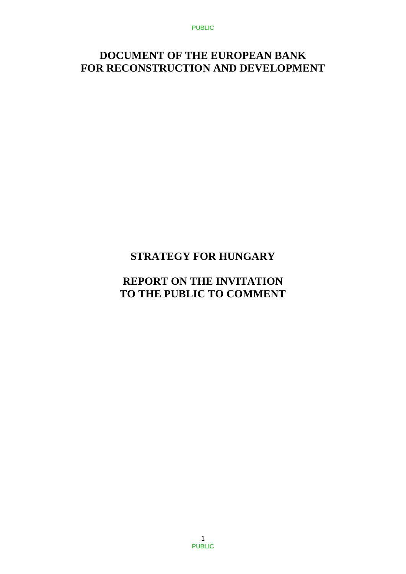PUBLIC

## **DOCUMENT OF THE EUROPEAN BANK FOR RECONSTRUCTION AND DEVELOPMENT**

# **STRATEGY FOR HUNGARY**

## **REPORT ON THE INVITATION TO THE PUBLIC TO COMMENT**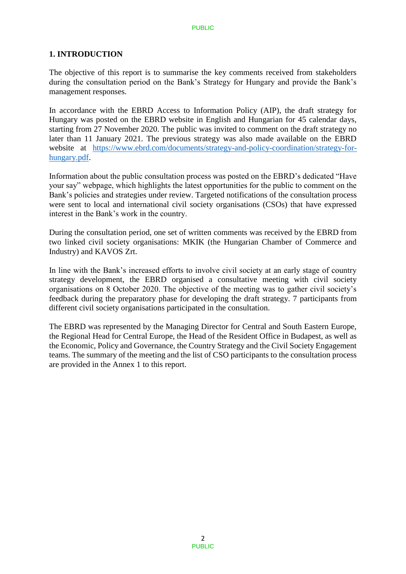## **1. INTRODUCTION**

The objective of this report is to summarise the key comments received from stakeholders during the consultation period on the Bank's Strategy for Hungary and provide the Bank's management responses.

In accordance with the EBRD Access to Information Policy (AIP), the draft strategy for Hungary was posted on the EBRD website in English and Hungarian for 45 calendar days, starting from 27 November 2020. The public was invited to comment on the draft strategy no later than 11 January 2021. The previous strategy was also made available on the EBRD website at [https://www.ebrd.com/documents/strategy-and-policy-coordination/strategy-for](https://www.ebrd.com/documents/strategy-and-policy-coordination/strategy-for-hungary.pdf)[hungary.pdf.](https://www.ebrd.com/documents/strategy-and-policy-coordination/strategy-for-hungary.pdf)

Information about the public consultation process was posted on the EBRD's dedicated "Have your say" webpage, which highlights the latest opportunities for the public to comment on the Bank's policies and strategies under review. Targeted notifications of the consultation process were sent to local and international civil society organisations (CSOs) that have expressed interest in the Bank's work in the country.

During the consultation period, one set of written comments was received by the EBRD from two linked civil society organisations: MKIK (the Hungarian Chamber of Commerce and Industry) and KAVOS Zrt.

In line with the Bank's increased efforts to involve civil society at an early stage of country strategy development, the EBRD organised a consultative meeting with civil society organisations on 8 October 2020. The objective of the meeting was to gather civil society's feedback during the preparatory phase for developing the draft strategy. 7 participants from different civil society organisations participated in the consultation.

The EBRD was represented by the Managing Director for Central and South Eastern Europe, the Regional Head for Central Europe, the Head of the Resident Office in Budapest, as well as the Economic, Policy and Governance, the Country Strategy and the Civil Society Engagement teams. The summary of the meeting and the list of CSO participants to the consultation process are provided in the Annex 1 to this report.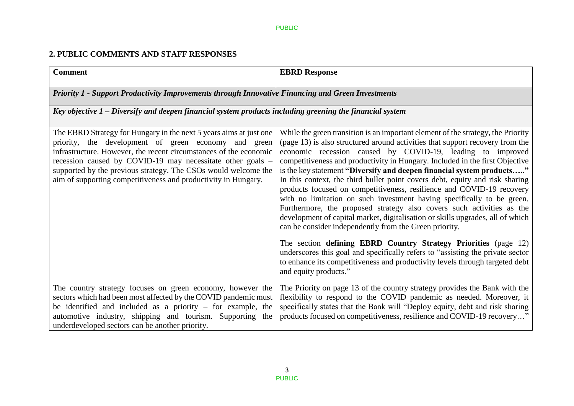## **2. PUBLIC COMMENTS AND STAFF RESPONSES**

| <b>Comment</b>                                                                                                                                                                                                                                                                                                                                                                                    | <b>EBRD Response</b>                                                                                                                                                                                                                                                                                                                                                                                                                                                                                                                                                                                                                                                                                                                                                                                                                                                                                                                                                                                                                                                                                            |  |
|---------------------------------------------------------------------------------------------------------------------------------------------------------------------------------------------------------------------------------------------------------------------------------------------------------------------------------------------------------------------------------------------------|-----------------------------------------------------------------------------------------------------------------------------------------------------------------------------------------------------------------------------------------------------------------------------------------------------------------------------------------------------------------------------------------------------------------------------------------------------------------------------------------------------------------------------------------------------------------------------------------------------------------------------------------------------------------------------------------------------------------------------------------------------------------------------------------------------------------------------------------------------------------------------------------------------------------------------------------------------------------------------------------------------------------------------------------------------------------------------------------------------------------|--|
| <b>Priority 1 - Support Productivity Improvements through Innovative Financing and Green Investments</b>                                                                                                                                                                                                                                                                                          |                                                                                                                                                                                                                                                                                                                                                                                                                                                                                                                                                                                                                                                                                                                                                                                                                                                                                                                                                                                                                                                                                                                 |  |
| Key objective $1$ – Diversify and deepen financial system products including greening the financial system                                                                                                                                                                                                                                                                                        |                                                                                                                                                                                                                                                                                                                                                                                                                                                                                                                                                                                                                                                                                                                                                                                                                                                                                                                                                                                                                                                                                                                 |  |
| The EBRD Strategy for Hungary in the next 5 years aims at just one<br>priority, the development of green economy and green<br>infrastructure. However, the recent circumstances of the economic<br>recession caused by COVID-19 may necessitate other goals -<br>supported by the previous strategy. The CSOs would welcome the<br>aim of supporting competitiveness and productivity in Hungary. | While the green transition is an important element of the strategy, the Priority<br>(page 13) is also structured around activities that support recovery from the<br>economic recession caused by COVID-19, leading to improved<br>competitiveness and productivity in Hungary. Included in the first Objective<br>is the key statement "Diversify and deepen financial system products"<br>In this context, the third bullet point covers debt, equity and risk sharing<br>products focused on competitiveness, resilience and COVID-19 recovery<br>with no limitation on such investment having specifically to be green.<br>Furthermore, the proposed strategy also covers such activities as the<br>development of capital market, digitalisation or skills upgrades, all of which<br>can be consider independently from the Green priority.<br>The section defining EBRD Country Strategy Priorities (page 12)<br>underscores this goal and specifically refers to "assisting the private sector"<br>to enhance its competitiveness and productivity levels through targeted debt<br>and equity products." |  |
| The country strategy focuses on green economy, however the<br>sectors which had been most affected by the COVID pandemic must<br>be identified and included as a priority $-$ for example, the<br>automotive industry, shipping and tourism. Supporting the<br>underdeveloped sectors can be another priority.                                                                                    | The Priority on page 13 of the country strategy provides the Bank with the<br>flexibility to respond to the COVID pandemic as needed. Moreover, it<br>specifically states that the Bank will "Deploy equity, debt and risk sharing<br>products focused on competitiveness, resilience and COVID-19 recovery"                                                                                                                                                                                                                                                                                                                                                                                                                                                                                                                                                                                                                                                                                                                                                                                                    |  |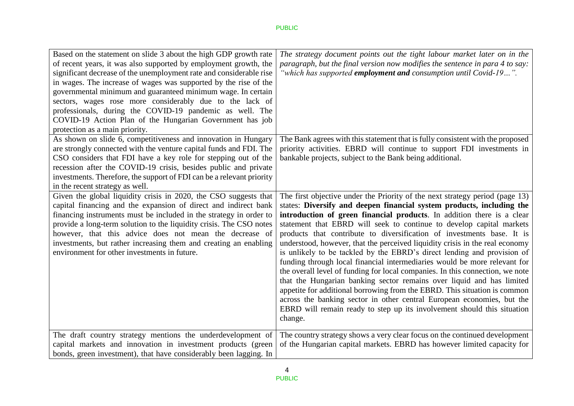| Based on the statement on slide 3 about the high GDP growth rate<br>of recent years, it was also supported by employment growth, the<br>significant decrease of the unemployment rate and considerable rise<br>in wages. The increase of wages was supported by the rise of the<br>governmental minimum and guaranteed minimum wage. In certain<br>sectors, wages rose more considerably due to the lack of<br>professionals, during the COVID-19 pandemic as well. The<br>COVID-19 Action Plan of the Hungarian Government has job<br>protection as a main priority. | The strategy document points out the tight labour market later on in the<br>paragraph, but the final version now modifies the sentence in para 4 to say:<br>"which has supported employment and consumption until Covid-19".                                                                                                                                                                                                                                                                                                                                                                                                                                                                                                                                                                                                                                                                                                                                                                                                     |
|-----------------------------------------------------------------------------------------------------------------------------------------------------------------------------------------------------------------------------------------------------------------------------------------------------------------------------------------------------------------------------------------------------------------------------------------------------------------------------------------------------------------------------------------------------------------------|----------------------------------------------------------------------------------------------------------------------------------------------------------------------------------------------------------------------------------------------------------------------------------------------------------------------------------------------------------------------------------------------------------------------------------------------------------------------------------------------------------------------------------------------------------------------------------------------------------------------------------------------------------------------------------------------------------------------------------------------------------------------------------------------------------------------------------------------------------------------------------------------------------------------------------------------------------------------------------------------------------------------------------|
| As shown on slide 6, competitiveness and innovation in Hungary<br>are strongly connected with the venture capital funds and FDI. The<br>CSO considers that FDI have a key role for stepping out of the<br>recession after the COVID-19 crisis, besides public and private<br>investments. Therefore, the support of FDI can be a relevant priority<br>in the recent strategy as well.                                                                                                                                                                                 | The Bank agrees with this statement that is fully consistent with the proposed<br>priority activities. EBRD will continue to support FDI investments in<br>bankable projects, subject to the Bank being additional.                                                                                                                                                                                                                                                                                                                                                                                                                                                                                                                                                                                                                                                                                                                                                                                                              |
| Given the global liquidity crisis in 2020, the CSO suggests that<br>capital financing and the expansion of direct and indirect bank<br>financing instruments must be included in the strategy in order to<br>provide a long-term solution to the liquidity crisis. The CSO notes<br>however, that this advice does not mean the decrease of<br>investments, but rather increasing them and creating an enabling<br>environment for other investments in future.                                                                                                       | The first objective under the Priority of the next strategy period (page 13)<br>states: Diversify and deepen financial system products, including the<br>introduction of green financial products. In addition there is a clear<br>statement that EBRD will seek to continue to develop capital markets<br>products that contribute to diversification of investments base. It is<br>understood, however, that the perceived liquidity crisis in the real economy<br>is unlikely to be tackled by the EBRD's direct lending and provision of<br>funding through local financial intermediaries would be more relevant for<br>the overall level of funding for local companies. In this connection, we note<br>that the Hungarian banking sector remains over liquid and has limited<br>appetite for additional borrowing from the EBRD. This situation is common<br>across the banking sector in other central European economies, but the<br>EBRD will remain ready to step up its involvement should this situation<br>change. |
| The draft country strategy mentions the underdevelopment of<br>capital markets and innovation in investment products (green<br>bonds, green investment), that have considerably been lagging. In                                                                                                                                                                                                                                                                                                                                                                      | The country strategy shows a very clear focus on the continued development<br>of the Hungarian capital markets. EBRD has however limited capacity for                                                                                                                                                                                                                                                                                                                                                                                                                                                                                                                                                                                                                                                                                                                                                                                                                                                                            |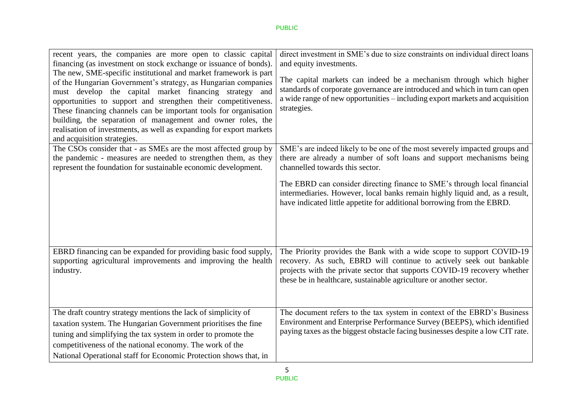| recent years, the companies are more open to classic capital<br>financing (as investment on stock exchange or issuance of bonds).<br>The new, SME-specific institutional and market framework is part<br>of the Hungarian Government's strategy, as Hungarian companies<br>must develop the capital market financing strategy<br>and<br>opportunities to support and strengthen their competitiveness.<br>These financing channels can be important tools for organisation<br>building, the separation of management and owner roles, the<br>realisation of investments, as well as expanding for export markets<br>and acquisition strategies.<br>The CSOs consider that - as SMEs are the most affected group by<br>the pandemic - measures are needed to strengthen them, as they | direct investment in SME's due to size constraints on individual direct loans<br>and equity investments.<br>The capital markets can indeed be a mechanism through which higher<br>standards of corporate governance are introduced and which in turn can open<br>a wide range of new opportunities – including export markets and acquisition<br>strategies.<br>SME's are indeed likely to be one of the most severely impacted groups and<br>there are already a number of soft loans and support mechanisms being |
|--------------------------------------------------------------------------------------------------------------------------------------------------------------------------------------------------------------------------------------------------------------------------------------------------------------------------------------------------------------------------------------------------------------------------------------------------------------------------------------------------------------------------------------------------------------------------------------------------------------------------------------------------------------------------------------------------------------------------------------------------------------------------------------|---------------------------------------------------------------------------------------------------------------------------------------------------------------------------------------------------------------------------------------------------------------------------------------------------------------------------------------------------------------------------------------------------------------------------------------------------------------------------------------------------------------------|
| represent the foundation for sustainable economic development.                                                                                                                                                                                                                                                                                                                                                                                                                                                                                                                                                                                                                                                                                                                       | channelled towards this sector.<br>The EBRD can consider directing finance to SME's through local financial<br>intermediaries. However, local banks remain highly liquid and, as a result,<br>have indicated little appetite for additional borrowing from the EBRD.                                                                                                                                                                                                                                                |
| EBRD financing can be expanded for providing basic food supply,<br>supporting agricultural improvements and improving the health<br>industry.                                                                                                                                                                                                                                                                                                                                                                                                                                                                                                                                                                                                                                        | The Priority provides the Bank with a wide scope to support COVID-19<br>recovery. As such, EBRD will continue to actively seek out bankable<br>projects with the private sector that supports COVID-19 recovery whether<br>these be in healthcare, sustainable agriculture or another sector.                                                                                                                                                                                                                       |
| The draft country strategy mentions the lack of simplicity of<br>taxation system. The Hungarian Government prioritises the fine<br>tuning and simplifying the tax system in order to promote the<br>competitiveness of the national economy. The work of the<br>National Operational staff for Economic Protection shows that, in                                                                                                                                                                                                                                                                                                                                                                                                                                                    | The document refers to the tax system in context of the EBRD's Business<br>Environment and Enterprise Performance Survey (BEEPS), which identified<br>paying taxes as the biggest obstacle facing businesses despite a low CIT rate.                                                                                                                                                                                                                                                                                |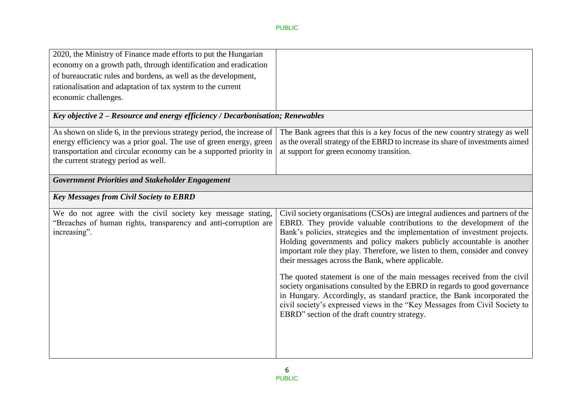| 2020, the Ministry of Finance made efforts to put the Hungarian<br>economy on a growth path, through identification and eradication<br>of bureaucratic rules and burdens, as well as the development,<br>rationalisation and adaptation of tax system to the current<br>economic challenges. |                                                                                                                                                                                                                                                                                                                                                                                                                                                                                                                                                                                                                                                                                                                                                                                                                    |  |
|----------------------------------------------------------------------------------------------------------------------------------------------------------------------------------------------------------------------------------------------------------------------------------------------|--------------------------------------------------------------------------------------------------------------------------------------------------------------------------------------------------------------------------------------------------------------------------------------------------------------------------------------------------------------------------------------------------------------------------------------------------------------------------------------------------------------------------------------------------------------------------------------------------------------------------------------------------------------------------------------------------------------------------------------------------------------------------------------------------------------------|--|
| Key objective 2 – Resource and energy efficiency / Decarbonisation; Renewables                                                                                                                                                                                                               |                                                                                                                                                                                                                                                                                                                                                                                                                                                                                                                                                                                                                                                                                                                                                                                                                    |  |
| As shown on slide 6, in the previous strategy period, the increase of<br>energy efficiency was a prior goal. The use of green energy, green<br>transportation and circular economy can be a supported priority in<br>the current strategy period as well.                                    | The Bank agrees that this is a key focus of the new country strategy as well<br>as the overall strategy of the EBRD to increase its share of investments aimed<br>at support for green economy transition.                                                                                                                                                                                                                                                                                                                                                                                                                                                                                                                                                                                                         |  |
| <b>Government Priorities and Stakeholder Engagement</b>                                                                                                                                                                                                                                      |                                                                                                                                                                                                                                                                                                                                                                                                                                                                                                                                                                                                                                                                                                                                                                                                                    |  |
| <b>Key Messages from Civil Society to EBRD</b>                                                                                                                                                                                                                                               |                                                                                                                                                                                                                                                                                                                                                                                                                                                                                                                                                                                                                                                                                                                                                                                                                    |  |
| We do not agree with the civil society key message stating,<br>"Breaches of human rights, transparency and anti-corruption are<br>increasing".                                                                                                                                               | Civil society organisations (CSOs) are integral audiences and partners of the<br>EBRD. They provide valuable contributions to the development of the<br>Bank's policies, strategies and the implementation of investment projects.<br>Holding governments and policy makers publicly accountable is another<br>important role they play. Therefore, we listen to them, consider and convey<br>their messages across the Bank, where applicable.<br>The quoted statement is one of the main messages received from the civil<br>society organisations consulted by the EBRD in regards to good governance<br>in Hungary. Accordingly, as standard practice, the Bank incorporated the<br>civil society's expressed views in the "Key Messages from Civil Society to<br>EBRD" section of the draft country strategy. |  |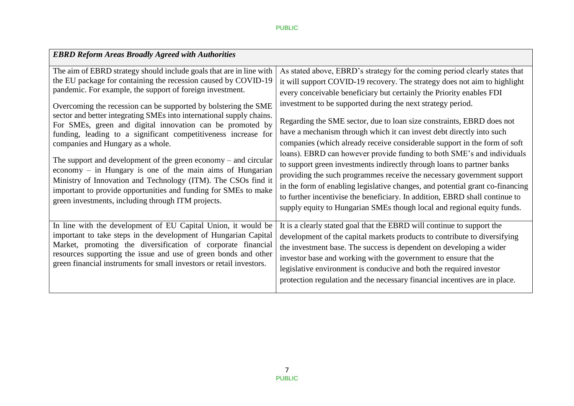### PUBLIC

| <b>EBRD Reform Areas Broadly Agreed with Authorities</b>                                                                                                                                                                                                                                                                                                                                                                                                                                                                                                                                                                                                                                                                                                                                                                                        |                                                                                                                                                                                                                                                                                                                                                                                                                                                                                                                                                                                                                                                                                                                                                                                                                                                                                                                                                                                                       |
|-------------------------------------------------------------------------------------------------------------------------------------------------------------------------------------------------------------------------------------------------------------------------------------------------------------------------------------------------------------------------------------------------------------------------------------------------------------------------------------------------------------------------------------------------------------------------------------------------------------------------------------------------------------------------------------------------------------------------------------------------------------------------------------------------------------------------------------------------|-------------------------------------------------------------------------------------------------------------------------------------------------------------------------------------------------------------------------------------------------------------------------------------------------------------------------------------------------------------------------------------------------------------------------------------------------------------------------------------------------------------------------------------------------------------------------------------------------------------------------------------------------------------------------------------------------------------------------------------------------------------------------------------------------------------------------------------------------------------------------------------------------------------------------------------------------------------------------------------------------------|
| The aim of EBRD strategy should include goals that are in line with<br>the EU package for containing the recession caused by COVID-19<br>pandemic. For example, the support of foreign investment.<br>Overcoming the recession can be supported by bolstering the SME<br>sector and better integrating SMEs into international supply chains.<br>For SMEs, green and digital innovation can be promoted by<br>funding, leading to a significant competitiveness increase for<br>companies and Hungary as a whole.<br>The support and development of the green economy $-$ and circular<br>economy $-$ in Hungary is one of the main aims of Hungarian<br>Ministry of Innovation and Technology (ITM). The CSOs find it<br>important to provide opportunities and funding for SMEs to make<br>green investments, including through ITM projects. | As stated above, EBRD's strategy for the coming period clearly states that<br>it will support COVID-19 recovery. The strategy does not aim to highlight<br>every conceivable beneficiary but certainly the Priority enables FDI<br>investment to be supported during the next strategy period.<br>Regarding the SME sector, due to loan size constraints, EBRD does not<br>have a mechanism through which it can invest debt directly into such<br>companies (which already receive considerable support in the form of soft<br>loans). EBRD can however provide funding to both SME's and individuals<br>to support green investments indirectly through loans to partner banks<br>providing the such programmes receive the necessary government support<br>in the form of enabling legislative changes, and potential grant co-financing<br>to further incentivise the beneficiary. In addition, EBRD shall continue to<br>supply equity to Hungarian SMEs though local and regional equity funds. |
| In line with the development of EU Capital Union, it would be<br>important to take steps in the development of Hungarian Capital<br>Market, promoting the diversification of corporate financial<br>resources supporting the issue and use of green bonds and other<br>green financial instruments for small investors or retail investors.                                                                                                                                                                                                                                                                                                                                                                                                                                                                                                     | It is a clearly stated goal that the EBRD will continue to support the<br>development of the capital markets products to contribute to diversifying<br>the investment base. The success is dependent on developing a wider<br>investor base and working with the government to ensure that the<br>legislative environment is conducive and both the required investor<br>protection regulation and the necessary financial incentives are in place.                                                                                                                                                                                                                                                                                                                                                                                                                                                                                                                                                   |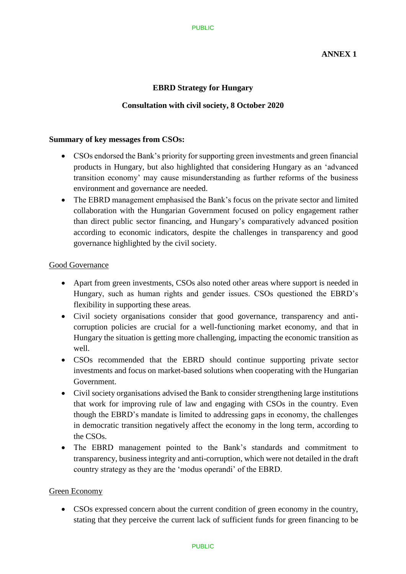## **EBRD Strategy for Hungary**

### **Consultation with civil society, 8 October 2020**

#### **Summary of key messages from CSOs:**

- CSOs endorsed the Bank's priority for supporting green investments and green financial products in Hungary, but also highlighted that considering Hungary as an 'advanced transition economy' may cause misunderstanding as further reforms of the business environment and governance are needed.
- The EBRD management emphasised the Bank's focus on the private sector and limited collaboration with the Hungarian Government focused on policy engagement rather than direct public sector financing, and Hungary's comparatively advanced position according to economic indicators, despite the challenges in transparency and good governance highlighted by the civil society.

#### Good Governance

- Apart from green investments, CSOs also noted other areas where support is needed in Hungary, such as human rights and gender issues. CSOs questioned the EBRD's flexibility in supporting these areas.
- Civil society organisations consider that good governance, transparency and anticorruption policies are crucial for a well-functioning market economy, and that in Hungary the situation is getting more challenging, impacting the economic transition as well.
- CSOs recommended that the EBRD should continue supporting private sector investments and focus on market-based solutions when cooperating with the Hungarian Government.
- Civil society organisations advised the Bank to consider strengthening large institutions that work for improving rule of law and engaging with CSOs in the country. Even though the EBRD's mandate is limited to addressing gaps in economy, the challenges in democratic transition negatively affect the economy in the long term, according to the CSOs.
- The EBRD management pointed to the Bank's standards and commitment to transparency, business integrity and anti-corruption, which were not detailed in the draft country strategy as they are the 'modus operandi' of the EBRD.

### Green Economy

 CSOs expressed concern about the current condition of green economy in the country, stating that they perceive the current lack of sufficient funds for green financing to be